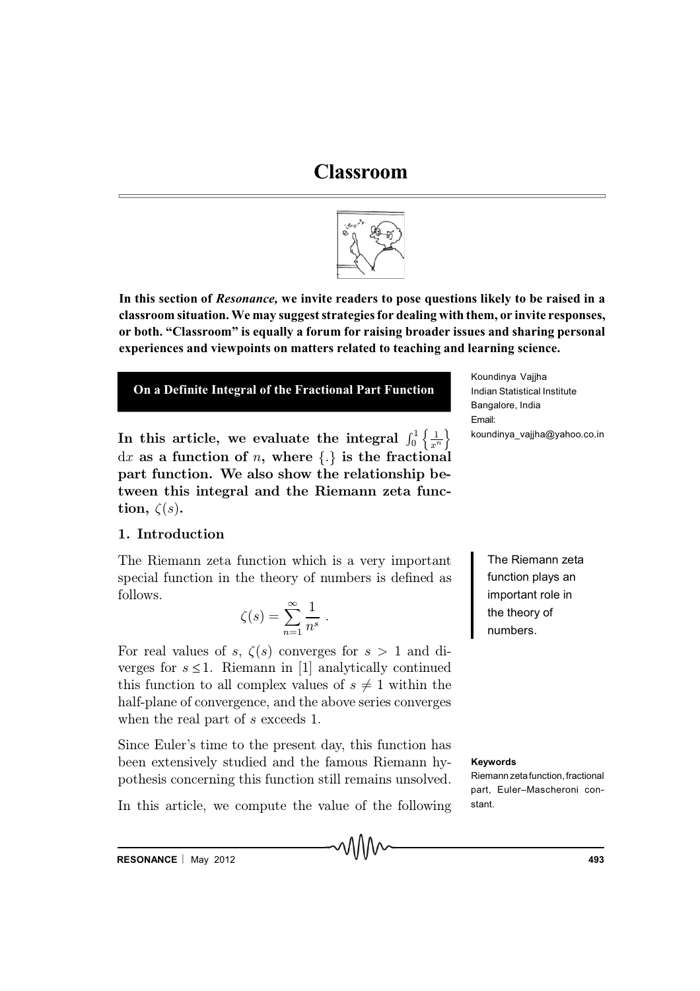# **Classroom**



**In this section of** *Resonance,* **we invite readers to pose questions likely to be raised in a classroom situation. We may suggest strategies for dealing with them, or invite responses, or both. "Classroom" is equally a forum for raising broader issues and sharing personal experiences and viewpoints on matters related to teaching and learning science.**



In this article, we evaluate the integral  $\int_0^1 \left\{ \frac{1}{r^2} \right\}$  $x^n$ o  $dx$  as a function of n, where  $\{.\}$  is the fractional part function. We also show the relationship between this integral and the Riemann zeta function,  $\zeta(s)$ .

# 1. Introduction

The Riemann zeta function which is a very important special function in the theory of numbers is defined as follows.

$$
\zeta(s) = \sum_{n=1}^{\infty} \frac{1}{n^s} .
$$

For real values of s,  $\zeta(s)$  converges for  $s > 1$  and diverges for  $s \leq 1$ . Riemann in [1] analytically continued this function to all complex values of  $s \neq 1$  within the half-plane of convergence, and the above series converges when the real part of s exceeds 1.

Since Euler's time to the present day, this function has been extensively studied and the famous Riemann hypothesis concerning this function still remains unsolved.

In this article, we compute the value of the following

Koundinya Vajjha Indian Statistical Institute Bangalore, India Email: koundinya\_vajjha@yahoo.co.in

> The Riemann zeta function plays an important role in the theory of numbers.

#### **Keywords**

Riemann zetafunction, fractional part, Euler–Mascheroni constant.

**RESONANCE** | May 2012 **193 1949**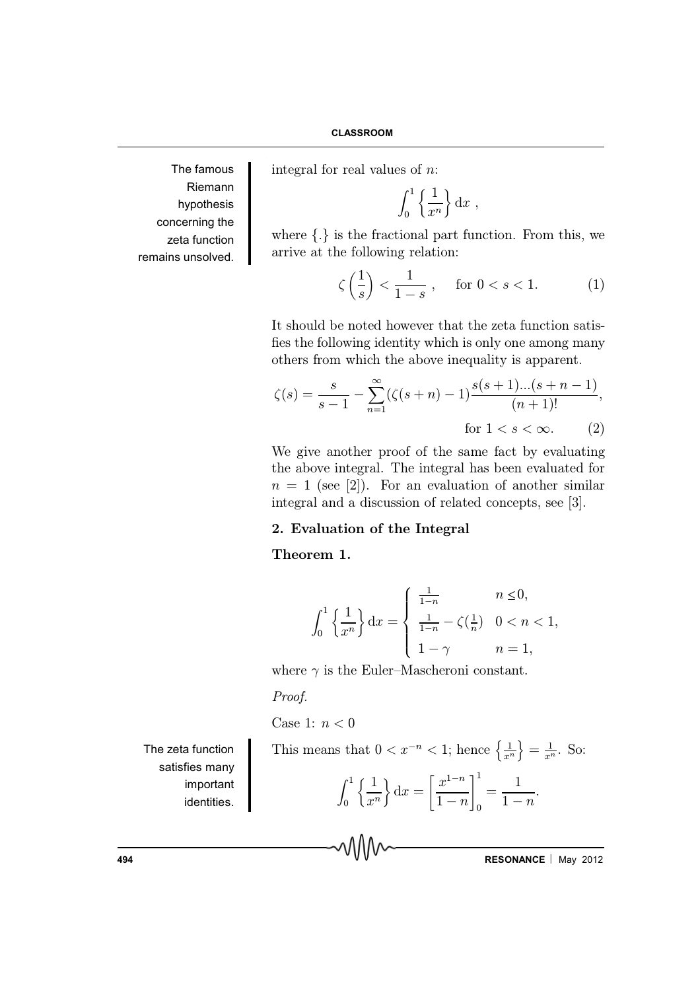The famous Riemann hypothesis concerning the zeta function remains unsolved.

integral for real values of n:

$$
\int_0^1 \left\{ \frac{1}{x^n} \right\} \mathrm{d}x ,
$$

where  $\{\cdot\}$  is the fractional part function. From this, we arrive at the following relation:

$$
\zeta\left(\frac{1}{s}\right) < \frac{1}{1-s} \,, \quad \text{for } 0 < s < 1. \tag{1}
$$

It should be noted however that the zeta function satis fies the following identity which is only one among many others from which the above inequality is apparent.

$$
\zeta(s) = \frac{s}{s-1} - \sum_{n=1}^{\infty} (\zeta(s+n) - 1) \frac{s(s+1)...(s+n-1)}{(n+1)!},
$$
  
for  $1 < s < \infty$ . (2)

We give another proof of the same fact by evaluating the above integral. The integral has been evaluated for  $n = 1$  (see [2]). For an evaluation of another similar integral and a discussion of related concepts, see [3].

## 2. Evaluation of the Integral

## Theorem 1.

$$
\int_0^1 \left\{ \frac{1}{x^n} \right\} dx = \begin{cases} \frac{1}{1-n} & n \le 0, \\ \frac{1}{1-n} - \zeta(\frac{1}{n}) & 0 < n < 1, \\ 1 - \gamma & n = 1, \end{cases}
$$

where  $\gamma$  is the Euler-Mascheroni constant.

#### Proof.

Case 1:  $n < 0$ 

The zeta function satisfies many important identities.

This means that 
$$
0 < x^{-n} < 1
$$
; hence  $\left\{\frac{1}{x^n}\right\} = \frac{1}{x^n}$ . So:

$$
\int_0^1 \left\{ \frac{1}{x^n} \right\} dx = \left[ \frac{x^{1-n}}{1-n} \right]_0^1 = \frac{1}{1-n}.
$$

**494 RESONANCE** | May 2012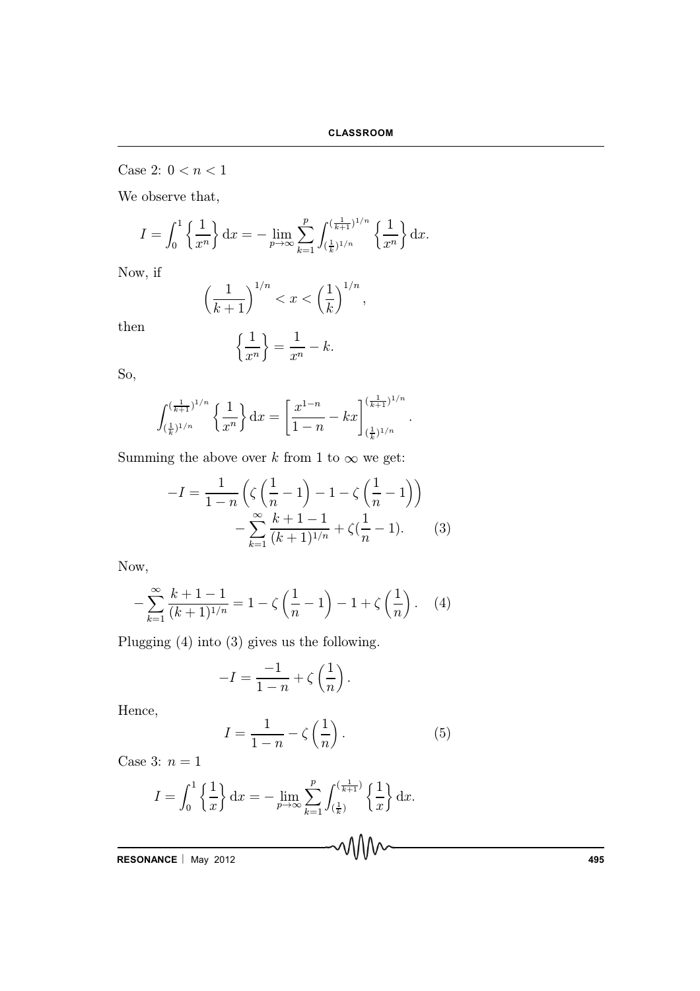Case 2:  $0 < n < 1$ 

We observe that,

$$
I = \int_0^1 \left\{ \frac{1}{x^n} \right\} dx = - \lim_{p \to \infty} \sum_{k=1}^p \int_{(\frac{1}{k})^{1/n}}^{(\frac{1}{k+1})^{1/n}} \left\{ \frac{1}{x^n} \right\} dx.
$$

Now, if

$$
\left(\frac{1}{k+1}\right)^{1/n} < x < \left(\frac{1}{k}\right)^{1/n},
$$

then

$$
\left\{\frac{1}{x^n}\right\} = \frac{1}{x^n} - k.
$$

So,

$$
\int_{(\frac{1}{k})^{1/n}}^{(\frac{1}{k+1})^{1/n}} \left\{ \frac{1}{x^n} \right\} dx = \left[ \frac{x^{1-n}}{1-n} - kx \right]_{(\frac{1}{k})^{1/n}}^{(\frac{1}{k+1})^{1/n}}.
$$

Summing the above over k from 1 to  $\infty$  we get:

$$
-I = \frac{1}{1-n} \left( \zeta \left( \frac{1}{n} - 1 \right) - 1 - \zeta \left( \frac{1}{n} - 1 \right) \right) - \sum_{k=1}^{\infty} \frac{k+1-1}{(k+1)^{1/n}} + \zeta \left( \frac{1}{n} - 1 \right).
$$
 (3)

Now,

$$
-\sum_{k=1}^{\infty} \frac{k+1-1}{(k+1)^{1/n}} = 1 - \zeta \left(\frac{1}{n} - 1\right) - 1 + \zeta \left(\frac{1}{n}\right). \tag{4}
$$

Plugging (4) into (3) gives us the following.

$$
-I = \frac{-1}{1-n} + \zeta\left(\frac{1}{n}\right).
$$

Hence,

$$
I = \frac{1}{1-n} - \zeta\left(\frac{1}{n}\right). \tag{5}
$$

Case 3:  $n = 1$ 

$$
I = \int_0^1 \left\{ \frac{1}{x} \right\} dx = - \lim_{p \to \infty} \sum_{k=1}^p \int_{(\frac{1}{k})}^{(\frac{1}{k+1})} \left\{ \frac{1}{x} \right\} dx.
$$

**RESONANCE** - May 2012 **495**